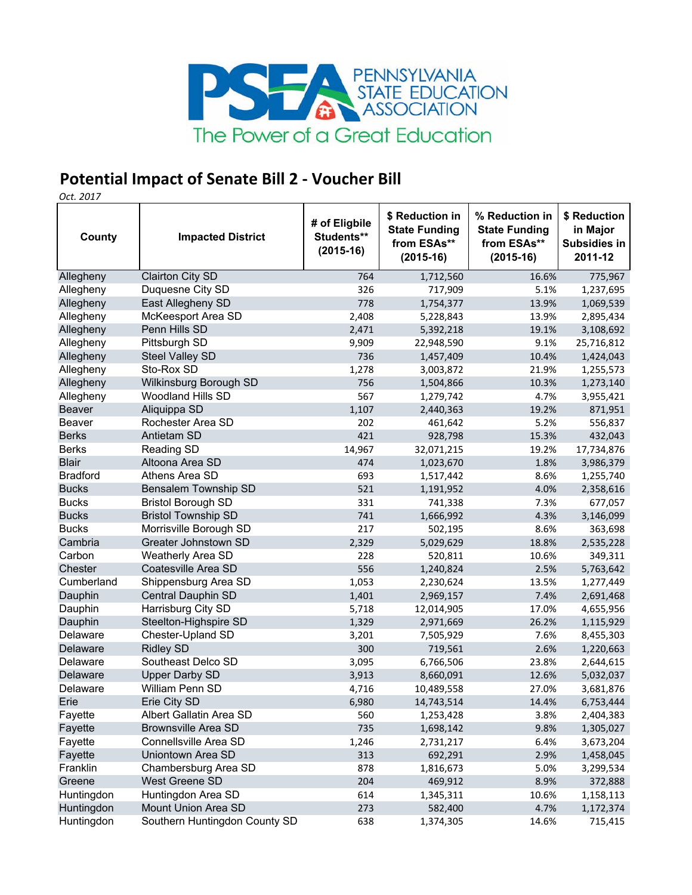

## **Potential Impact of Senate Bill 2 ‐ Voucher Bill**

*Oct. 2017*

|                      |                                        | # of Eligbile             | \$ Reduction in                                    | % Reduction in                                     | \$ Reduction                               |
|----------------------|----------------------------------------|---------------------------|----------------------------------------------------|----------------------------------------------------|--------------------------------------------|
| County               | <b>Impacted District</b>               | Students**<br>$(2015-16)$ | <b>State Funding</b><br>from ESAs**<br>$(2015-16)$ | <b>State Funding</b><br>from ESAs**<br>$(2015-16)$ | in Major<br><b>Subsidies in</b><br>2011-12 |
| Allegheny            | <b>Clairton City SD</b>                | 764                       | 1,712,560                                          | 16.6%                                              | 775,967                                    |
| Allegheny            | Duquesne City SD                       | 326                       | 717,909                                            | 5.1%                                               | 1,237,695                                  |
| Allegheny            | East Allegheny SD                      | 778                       | 1,754,377                                          | 13.9%                                              | 1,069,539                                  |
| Allegheny            | McKeesport Area SD                     | 2,408                     | 5,228,843                                          | 13.9%                                              | 2,895,434                                  |
| Allegheny            | Penn Hills SD                          | 2,471                     | 5,392,218                                          | 19.1%                                              | 3,108,692                                  |
| Allegheny            | Pittsburgh SD                          | 9,909                     | 22,948,590                                         | 9.1%                                               | 25,716,812                                 |
| Allegheny            | Steel Valley SD                        | 736                       | 1,457,409                                          | 10.4%                                              | 1,424,043                                  |
| Allegheny            | Sto-Rox SD                             | 1,278                     | 3,003,872                                          | 21.9%                                              | 1,255,573                                  |
| Allegheny            | Wilkinsburg Borough SD                 | 756                       | 1,504,866                                          | 10.3%                                              | 1,273,140                                  |
| Allegheny            | Woodland Hills SD                      | 567                       | 1,279,742                                          | 4.7%                                               | 3,955,421                                  |
| <b>Beaver</b>        | Aliquippa SD                           | 1,107                     | 2,440,363                                          | 19.2%                                              | 871,951                                    |
| Beaver               | Rochester Area SD                      | 202                       | 461,642                                            | 5.2%                                               | 556,837                                    |
| <b>Berks</b>         | <b>Antietam SD</b>                     | 421                       | 928,798                                            | 15.3%                                              | 432,043                                    |
| <b>Berks</b>         | <b>Reading SD</b>                      | 14,967                    | 32,071,215                                         | 19.2%                                              | 17,734,876                                 |
| <b>Blair</b>         | Altoona Area SD                        | 474                       | 1,023,670                                          | 1.8%                                               | 3,986,379                                  |
| <b>Bradford</b>      | Athens Area SD                         | 693                       | 1,517,442                                          | 8.6%                                               | 1,255,740                                  |
| <b>Bucks</b>         | <b>Bensalem Township SD</b>            | 521                       | 1,191,952                                          | 4.0%                                               | 2,358,616                                  |
| <b>Bucks</b>         | <b>Bristol Borough SD</b>              | 331                       | 741,338                                            | 7.3%                                               | 677,057                                    |
| <b>Bucks</b>         | <b>Bristol Township SD</b>             | 741                       | 1,666,992                                          | 4.3%                                               | 3,146,099                                  |
| <b>Bucks</b>         | Morrisville Borough SD                 | 217                       | 502,195                                            | 8.6%                                               | 363,698                                    |
| Cambria              | Greater Johnstown SD                   | 2,329                     | 5,029,629                                          | 18.8%                                              | 2,535,228                                  |
| Carbon               | Weatherly Area SD                      | 228                       | 520,811                                            | 10.6%                                              | 349,311                                    |
| Chester              | Coatesville Area SD                    | 556                       | 1,240,824                                          | 2.5%                                               | 5,763,642                                  |
| Cumberland           | Shippensburg Area SD                   | 1,053                     | 2,230,624                                          | 13.5%                                              | 1,277,449                                  |
| Dauphin              | Central Dauphin SD                     | 1,401                     | 2,969,157                                          | 7.4%                                               | 2,691,468                                  |
| Dauphin              | Harrisburg City SD                     | 5,718                     | 12,014,905                                         | 17.0%                                              | 4,655,956                                  |
| Dauphin              | Steelton-Highspire SD                  | 1,329                     | 2,971,669                                          | 26.2%                                              | 1,115,929                                  |
| Delaware             | Chester-Upland SD                      | 3,201                     | 7,505,929                                          | 7.6%                                               | 8,455,303                                  |
| Delaware             | <b>Ridley SD</b><br>Southeast Delco SD | 300                       | 719,561                                            | 2.6%                                               | 1,220,663                                  |
| Delaware<br>Delaware | <b>Upper Darby SD</b>                  | 3,095<br>3,913            | 6,766,506                                          | 23.8%                                              | 2,644,615                                  |
| Delaware             | William Penn SD                        | 4,716                     | 8,660,091<br>10,489,558                            | 12.6%<br>27.0%                                     | 5,032,037                                  |
| Erie                 | Erie City SD                           | 6,980                     |                                                    | 14.4%                                              | 3,681,876                                  |
| Fayette              | Albert Gallatin Area SD                | 560                       | 14,743,514<br>1,253,428                            | 3.8%                                               | 6,753,444<br>2,404,383                     |
| Fayette              | <b>Brownsville Area SD</b>             | 735                       | 1,698,142                                          | 9.8%                                               | 1,305,027                                  |
| Fayette              | Connellsville Area SD                  | 1,246                     | 2,731,217                                          | 6.4%                                               | 3,673,204                                  |
| Fayette              | Uniontown Area SD                      | 313                       | 692,291                                            | 2.9%                                               | 1,458,045                                  |
| Franklin             | Chambersburg Area SD                   | 878                       | 1,816,673                                          | 5.0%                                               | 3,299,534                                  |
| Greene               | West Greene SD                         | 204                       | 469,912                                            | 8.9%                                               | 372,888                                    |
| Huntingdon           | Huntingdon Area SD                     | 614                       | 1,345,311                                          | 10.6%                                              | 1,158,113                                  |
| Huntingdon           | Mount Union Area SD                    | 273                       | 582,400                                            | 4.7%                                               | 1,172,374                                  |
| Huntingdon           | Southern Huntingdon County SD          | 638                       | 1,374,305                                          | 14.6%                                              | 715,415                                    |
|                      |                                        |                           |                                                    |                                                    |                                            |